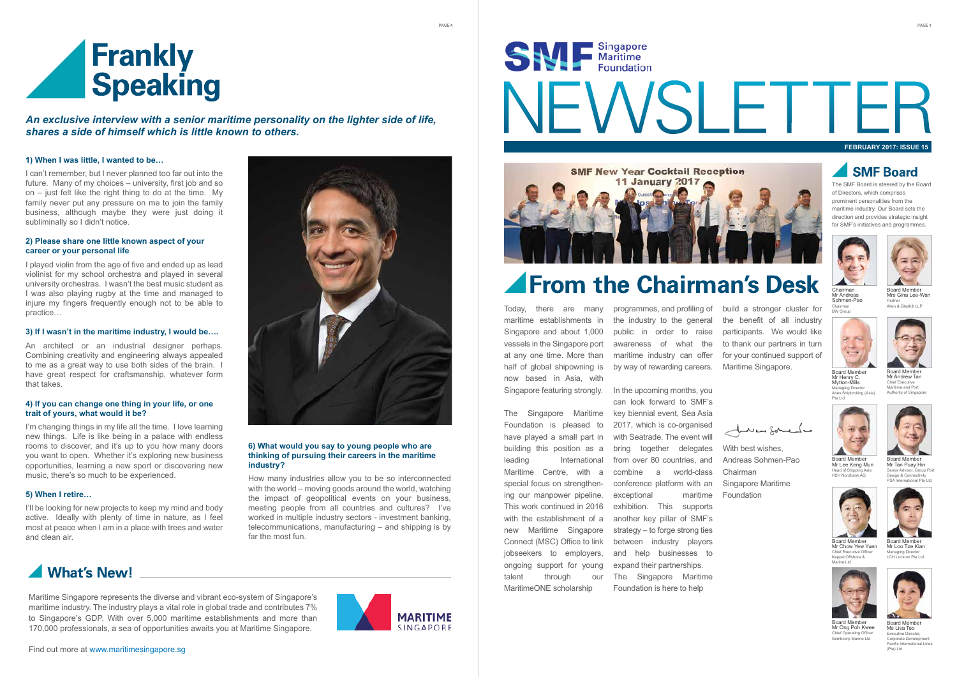#### **FEBRUARY 2017: ISSUE 15**

## **SMF Board**

Today, there are many maritime establishments in Singapore and about 1,000 vessels in the Singapore port at any one time. More than half of global shipowning is now based in Asia, with Singapore featuring strongly.

The Singapore Maritime Foundation is pleased to have played a small part in building this position as a leading International Maritime Centre, with a special focus on strengthening our manpower pipeline. This work continued in 2016 with the establishment of a new Maritime Singapore Connect (MSC) Office to link jobseekers to employers, ongoing support for young talent through our MaritimeONE scholarship

programmes, and profiling of the industry to the general public in order to raise awareness of what the maritime industry can offer by way of rewarding careers.

I can't remember, but I never planned too far out into the future. Many of my choices – university, first job and so on – just felt like the right thing to do at the time. My family never put any pressure on me to join the family business, although maybe they were just doing it subliminally so I didn't notice.

> In the upcoming months, you can look forward to SMF's key biennial event, Sea Asia 2017, which is co-organised with Seatrade. The event will bring together delegates from over 80 countries, and combine a world-class conference platform with an exceptional maritime exhibition. This supports another key pillar of SMF's strategy – to forge strong ties and help businesses to expand their partnerships. The Singapore Maritime

Foundation is here to help

PAGE 4

The SMF Board is steered by the Board of Directors, which comprises prominent personalities from the maritime industry. Our Board sets the direction and provides strategic insight for SMF's initiatives and programmes.

I'm changing things in my life all the time. I love learning new things. Life is like being in a palace with endless rooms to discover, and it's up to you how many doors you want to open. Whether it's exploring new business opportunities, learning a new sport or discovering new music, there's so much to be experienced.

Maritime Singapore represents the diverse and vibrant eco-system of Singapore's maritime industry. The industry plays a vital role in global trade and contributes 7% to Singapore's GDP. With over 5,000 maritime establishments and more than 170,000 professionals, a sea of opportunities awaits you at Maritime Singapore.



# SW Singapore **JEWSLETTE**



## **From the Chairman's Desk**

#### **1) When I was little, I wanted to be…**

- With best wishes.
- Andreas Sohmen-Pao
- Chairman
- Singapore Maritime
- Foundation

far the most fun.<br>
Connect (MSC) Office to link between industry players and the most players and the most players beard Member How many industries allow you to be so interconnected with the world – moving goods around the world, watching the impact of geopolitical events on your business, meeting people from all countries and cultures? I've worked in multiple industry sectors - investment banking, telecommunications, manufacturing – and shipping is by

## What's New!

#### **2) Please share one little known aspect of your career or your personal life**



ard M Mr Loo Tze Kian Managing Director LCH Lockton Pte Ltd



Board Membe Ms Lisa Teo Executive Director, Corporate Development Pacific International Lines (Pte) Ltd



Board Member Mrs Gina Lee-Wan Partner r annor<br>Allen & Gledhill I I F

I played violin from the age of five and ended up as lead violinist for my school orchestra and played in several university orchestras. I wasn't the best music student as I was also playing rugby at the time and managed to injure my fingers frequently enough not to be able to practice…

#### **3) If I wasn't in the maritime industry, I would be….**

An architect or an industrial designer perhaps. Combining creativity and engineering always appealed to me as a great way to use both sides of the brain. I have great respect for craftsmanship, whatever form that takes.

#### **4) If you can change one thing in your life, or one trait of yours, what would it be?**

#### **5) When I retire…**

I'll be looking for new projects to keep my mind and body active. Ideally with plenty of time in nature, as I feel most at peace when I am in a place with trees and water and clean air.





*An exclusive interview with a senior maritime personality on the lighter side of life, shares a side of himself which is little known to others.* 

> build a stronger cluster for the benefit of all industry participants. We would like to thank our partners in turn for your continued support of Maritime Singapore.

لمسلامه إجمسونات

#### **6) What would you say to young people who are thinking of pursuing their careers in the maritime industry?**



Mr Chow Yew Yuen  $Chief Ever$ Keppel Offshore & Marine Ltd



Board Member Mr Andrew Tan Chief Executive Maritime and Port Authority of Singapore



Chairman Mr Andreas Sohmen-Pao Chairman BW Group



Board Member Mr Tan Puay Hin Senior Advisor, Group Por Design & Connect PSA International Pte Ltd



Mr Lee Keng Mun Head of Ship HSH Nordbank AG



Board Member Mr Ong Poh Kwee Chief Operating Officer Sembcorp Marine Ltd



Board Member Mr Henry C. Mytton-Mills my term mine Aries Shipbroking (Asia) Pte Ltd